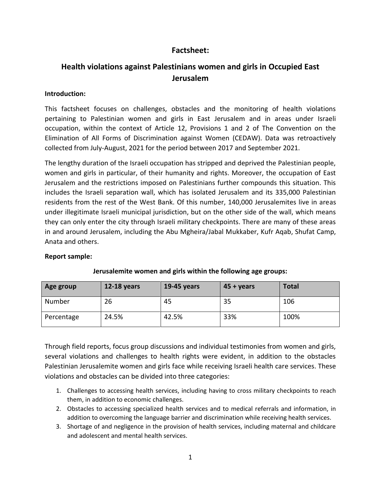## **Factsheet:**

# **Health violations against Palestinians women and girls in Occupied East Jerusalem**

#### **Introduction:**

This factsheet focuses on challenges, obstacles and the monitoring of health violations pertaining to Palestinian women and girls in East Jerusalem and in areas under Israeli occupation, within the context of Article 12, Provisions 1 and 2 of The Convention on the Elimination of All Forms of Discrimination against Women (CEDAW). Data was retroactively collected from July-August, 2021 for the period between 2017 and September 2021.

The lengthy duration of the Israeli occupation has stripped and deprived the Palestinian people, women and girls in particular, of their humanity and rights. Moreover, the occupation of East Jerusalem and the restrictions imposed on Palestinians further compounds this situation. This includes the Israeli separation wall, which has isolated Jerusalem and its 335,000 Palestinian residents from the rest of the West Bank. Of this number, 140,000 Jerusalemites live in areas under illegitimate Israeli municipal jurisdiction, but on the other side of the wall, which means they can only enter the city through Israeli military checkpoints. There are many of these areas in and around Jerusalem, including the Abu Mgheira/Jabal Mukkaber, Kufr Aqab, Shufat Camp, Anata and others.

#### **Report sample:**

| Age group  | 12-18 years | 19-45 years | $45 + \gamma$ ears | <b>Total</b> |
|------------|-------------|-------------|--------------------|--------------|
| Number     | 26          | 45          | 35                 | 106          |
| Percentage | 24.5%       | 42.5%       | 33%                | 100%         |

### **Jerusalemite women and girls within the following age groups:**

Through field reports, focus group discussions and individual testimonies from women and girls, several violations and challenges to health rights were evident, in addition to the obstacles Palestinian Jerusalemite women and girls face while receiving Israeli health care services. These violations and obstacles can be divided into three categories:

- 1. Challenges to accessing health services, including having to cross military checkpoints to reach them, in addition to economic challenges.
- 2. Obstacles to accessing specialized health services and to medical referrals and information, in addition to overcoming the language barrier and discrimination while receiving health services.
- 3. Shortage of and negligence in the provision of health services, including maternal and childcare and adolescent and mental health services.